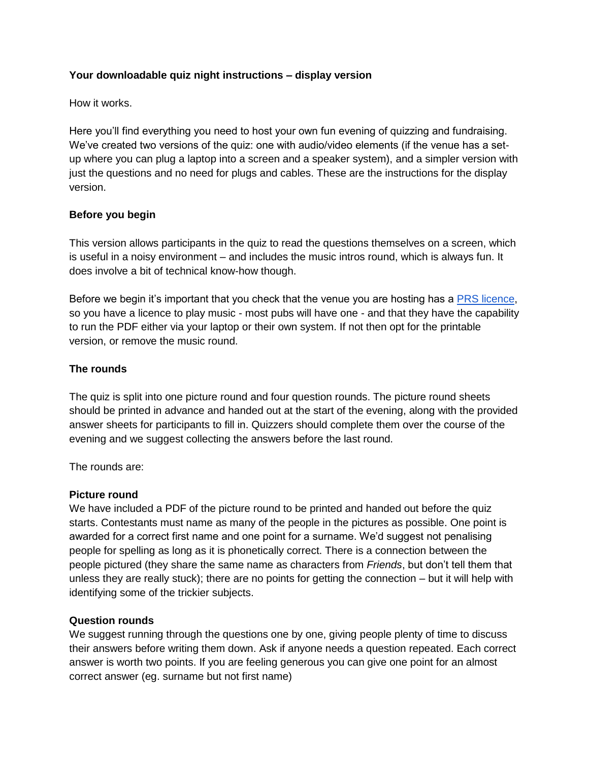# **Your downloadable quiz night instructions – display version**

How it works.

Here you'll find everything you need to host your own fun evening of quizzing and fundraising. We've created two versions of the quiz: one with audio/video elements (if the venue has a setup where you can plug a laptop into a screen and a speaker system), and a simpler version with just the questions and no need for plugs and cables. These are the instructions for the display version.

# **Before you begin**

This version allows participants in the quiz to read the questions themselves on a screen, which is useful in a noisy environment – and includes the music intros round, which is always fun. It does involve a bit of technical know-how though.

Before we begin it's important that you check that the venue you are hosting has [a](http://www.prsformusic.com/) [PRS licence,](http://www.prsformusic.com/) so you have a licence to play music - most pubs will have one - and that they have the capability to run the PDF either via your laptop or their own system. If not then opt for the printable version, or remove the music round.

### **The rounds**

The quiz is split into one picture round and four question rounds. The picture round sheets should be printed in advance and handed out at the start of the evening, along with the provided answer sheets for participants to fill in. Quizzers should complete them over the course of the evening and we suggest collecting the answers before the last round.

The rounds are:

### **Picture round**

We have included a PDF of the picture round to be printed and handed out before the quiz starts. Contestants must name as many of the people in the pictures as possible. One point is awarded for a correct first name and one point for a surname. We'd suggest not penalising people for spelling as long as it is phonetically correct. There is a connection between the people pictured (they share the same name as characters from *Friends*, but don't tell them that unless they are really stuck); there are no points for getting the connection – but it will help with identifying some of the trickier subjects.

### **Question rounds**

We suggest running through the questions one by one, giving people plenty of time to discuss their answers before writing them down. Ask if anyone needs a question repeated. Each correct answer is worth two points. If you are feeling generous you can give one point for an almost correct answer (eg. surname but not first name)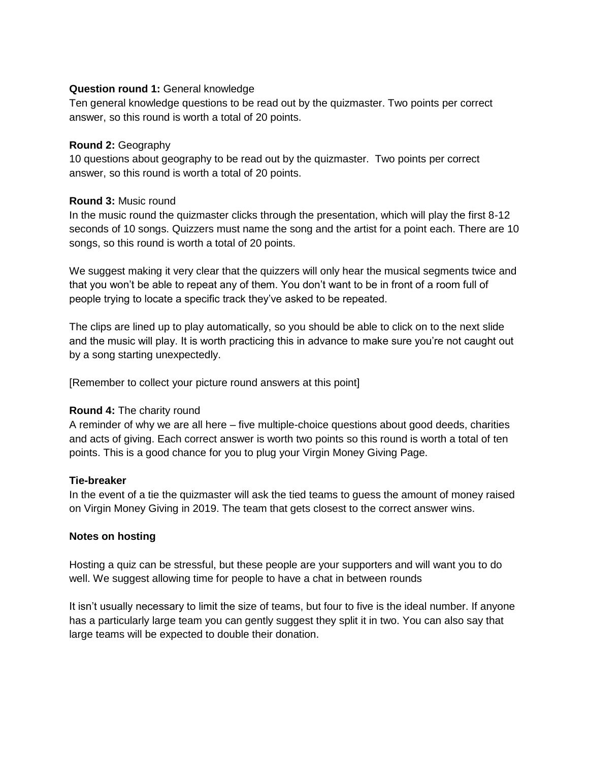### **Question round 1:** General knowledge

Ten general knowledge questions to be read out by the quizmaster. Two points per correct answer, so this round is worth a total of 20 points.

### **Round 2:** Geography

10 questions about geography to be read out by the quizmaster. Two points per correct answer, so this round is worth a total of 20 points.

### **Round 3:** Music round

In the music round the quizmaster clicks through the presentation, which will play the first 8-12 seconds of 10 songs. Quizzers must name the song and the artist for a point each. There are 10 songs, so this round is worth a total of 20 points.

We suggest making it very clear that the quizzers will only hear the musical segments twice and that you won't be able to repeat any of them. You don't want to be in front of a room full of people trying to locate a specific track they've asked to be repeated.

The clips are lined up to play automatically, so you should be able to click on to the next slide and the music will play. It is worth practicing this in advance to make sure you're not caught out by a song starting unexpectedly.

[Remember to collect your picture round answers at this point]

### **Round 4:** The charity round

A reminder of why we are all here – five multiple-choice questions about good deeds, charities and acts of giving. Each correct answer is worth two points so this round is worth a total of ten points. This is a good chance for you to plug your Virgin Money Giving Page.

### **Tie-breaker**

In the event of a tie the quizmaster will ask the tied teams to guess the amount of money raised on Virgin Money Giving in 2019. The team that gets closest to the correct answer wins.

### **Notes on hosting**

Hosting a quiz can be stressful, but these people are your supporters and will want you to do well. We suggest allowing time for people to have a chat in between rounds

It isn't usually necessary to limit the size of teams, but four to five is the ideal number. If anyone has a particularly large team you can gently suggest they split it in two. You can also say that large teams will be expected to double their donation.